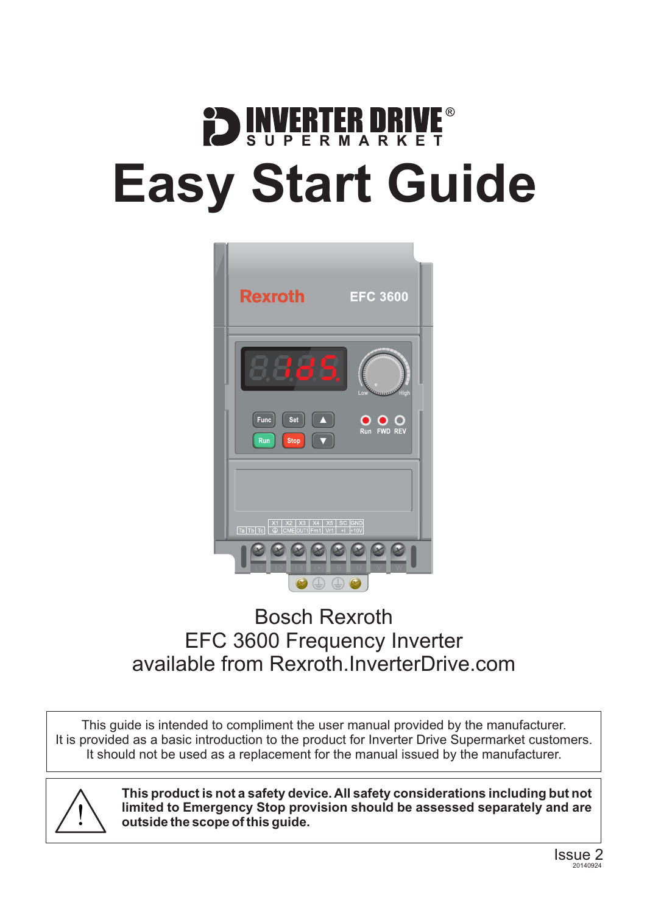# **DENVERTER DRIVE Easy Start Guide**



### Bosch Rexroth EFC 3600 Frequency Inverter available from [Rexroth.InverterDrive.com](http://rexroth.inverterdrive.com/)

This guide is intended to compliment the user manual provided by the manufacturer. It is provided as a basic introduction to the product for Inverter Drive Supermarket customers. It should not be used as a replacement for the manual issued by the manufacturer.



**This product is not a safety device. All safety considerations including but not limited to Emergency Stop provision should be assessed separately and are outside the scope of this guide.**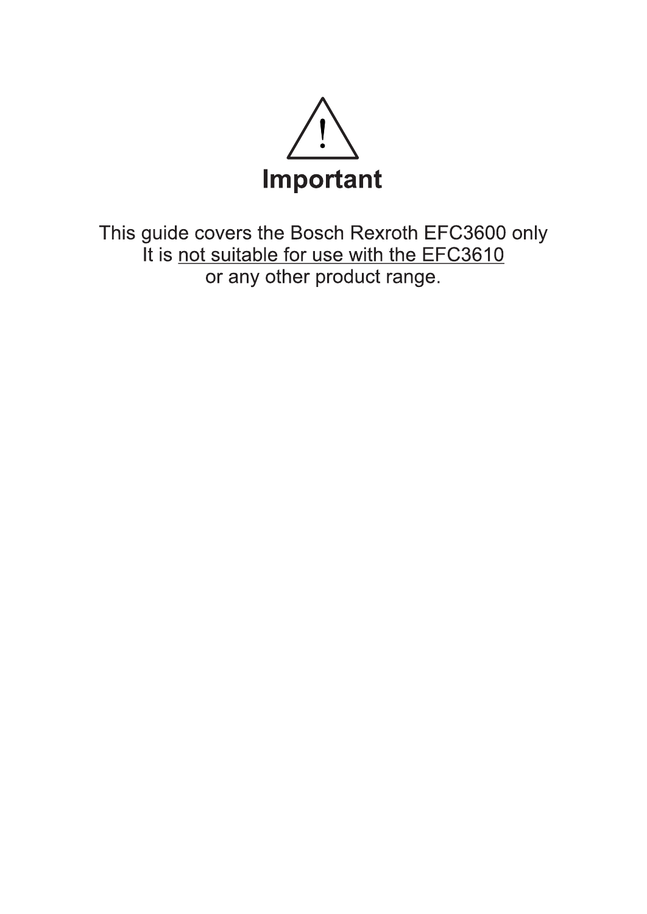

This guide covers the Bosch Rexroth EFC3600 only It is not suitable for use with the EFC3610 or any other product range.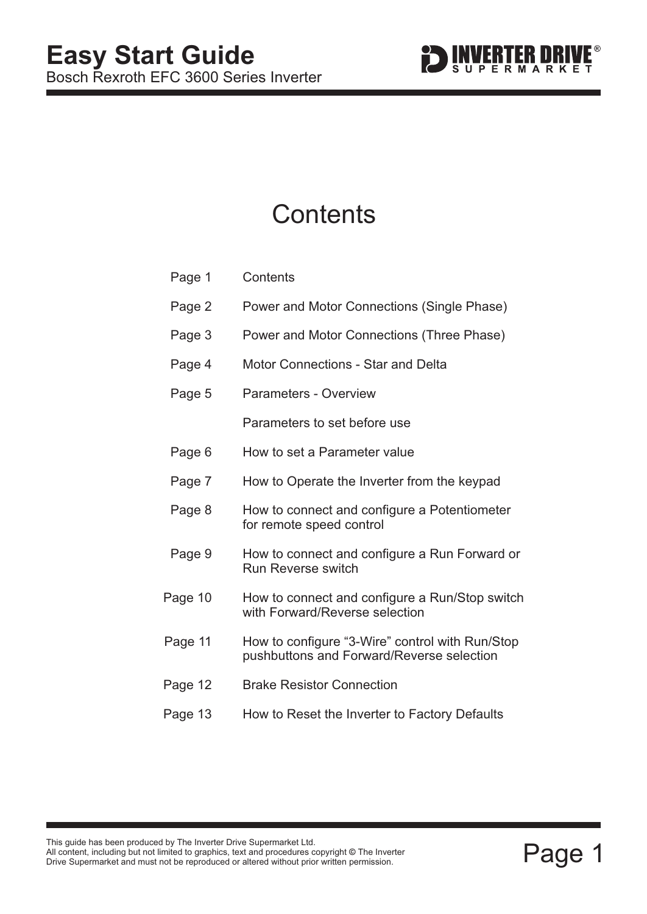

### **Contents**

| Page 1  | Contents                                                                                     |
|---------|----------------------------------------------------------------------------------------------|
| Page 2  | Power and Motor Connections (Single Phase)                                                   |
| Page 3  | Power and Motor Connections (Three Phase)                                                    |
| Page 4  | <b>Motor Connections - Star and Delta</b>                                                    |
| Page 5  | <b>Parameters - Overview</b>                                                                 |
|         | Parameters to set before use                                                                 |
| Page 6  | How to set a Parameter value                                                                 |
| Page 7  | How to Operate the Inverter from the keypad                                                  |
| Page 8  | How to connect and configure a Potentiometer<br>for remote speed control                     |
| Page 9  | How to connect and configure a Run Forward or<br><b>Run Reverse switch</b>                   |
| Page 10 | How to connect and configure a Run/Stop switch<br>with Forward/Reverse selection             |
| Page 11 | How to configure "3-Wire" control with Run/Stop<br>pushbuttons and Forward/Reverse selection |
| Page 12 | <b>Brake Resistor Connection</b>                                                             |
| Page 13 | How to Reset the Inverter to Factory Defaults                                                |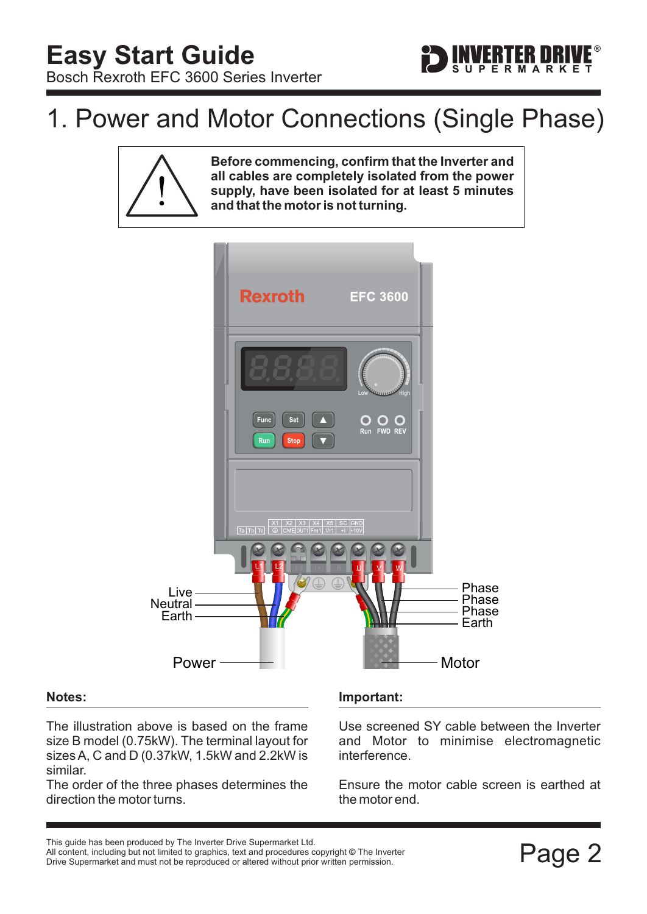### <span id="page-3-0"></span>1. Power and Motor Connections (Single Phase)





#### **Notes:**

The illustration above is based on the frame size B model (0.75kW). The terminal layout for sizes A, C and D (0.37kW, 1.5kW and 2.2kW is similar.

The order of the three phases determines the direction the motor turns.

#### **Important:**

Use screened SY cable between the Inverter and Motor to minimise electromagnetic interference.

Ensure the motor cable screen is earthed at the motor end.

This guide has been produced by The Inverter Drive Supermarket Ltd.<br>All content, including but not limited to graphics, text and procedures copyright © The Inverter<br>Drive Supermarket and must not be reproduced or altered w All content, including but not limited to graphics, text and procedures copyright © The Inverter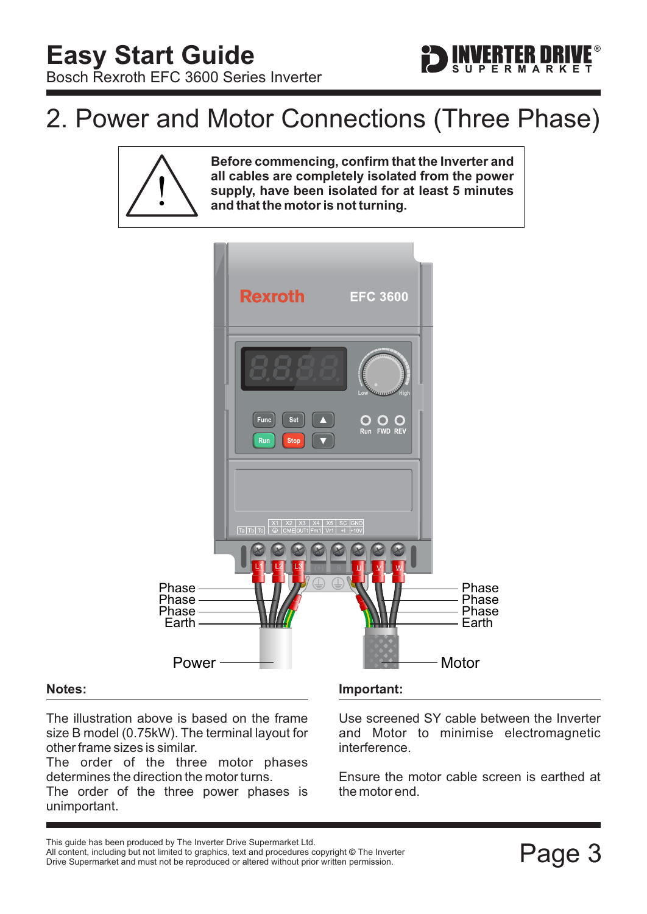### <span id="page-4-0"></span>2. Power and Motor Connections (Three Phase)





#### **Notes:**

The illustration above is based on the frame size B model (0.75kW). The terminal layout for other frame sizes is similar.

The order of the three motor phases determines the direction the motor turns.

The order of the three power phases is unimportant.

#### **Important:**

Use screened SY cable between the Inverter and Motor to minimise electromagnetic interference.

ERTER DRI

Ensure the motor cable screen is earthed at the motor end.

This guide has been produced by The Inverter Drive Supermarket Ltd.<br>All content, including but not limited to graphics, text and procedures copyright © The Inverter<br>Drive Supermarket and must not be reproduced or altered w All content, including but not limited to graphics, text and procedures copyright © The Inverter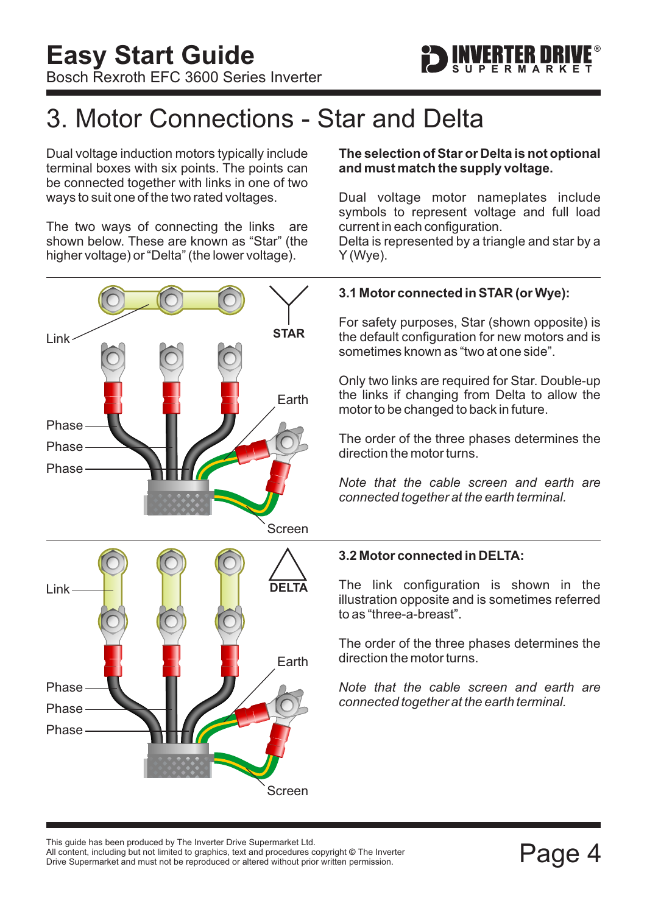

### <span id="page-5-0"></span>3. Motor Connections - Star and Delta

Dual voltage induction motors typically include terminal boxes with six points. The points can be connected together with links in one of two ways to suit one of the two rated voltages.

The two ways of connecting the links are shown below. These are known as "Star" (the higher voltage) or "Delta" (the lower voltage).



#### **The selection of Star or Delta is not optional and must match the supply voltage.**

Dual voltage motor nameplates include symbols to represent voltage and full load current in each configuration.

Delta is represented by a triangle and star by a Y (Wye).

#### **3.1 Motor connected in STAR (or Wye):**

For safety purposes, Star (shown opposite) is the default configuration for new motors and is sometimes known as "two at one side".

Only two links are required for Star. Double-up the links if changing from Delta to allow the motor to be changed to back in future.

The order of the three phases determines the direction the motor turns.

*Note that the cable screen and earth are connected together at the earth terminal.*

#### **3.2 Motor connected in DELTA:**

The link configuration is shown in the illustration opposite and is sometimes referred to as "three-a-breast".

The order of the three phases determines the direction the motor turns.

*Note that the cable screen and earth are connected together at the earth terminal.*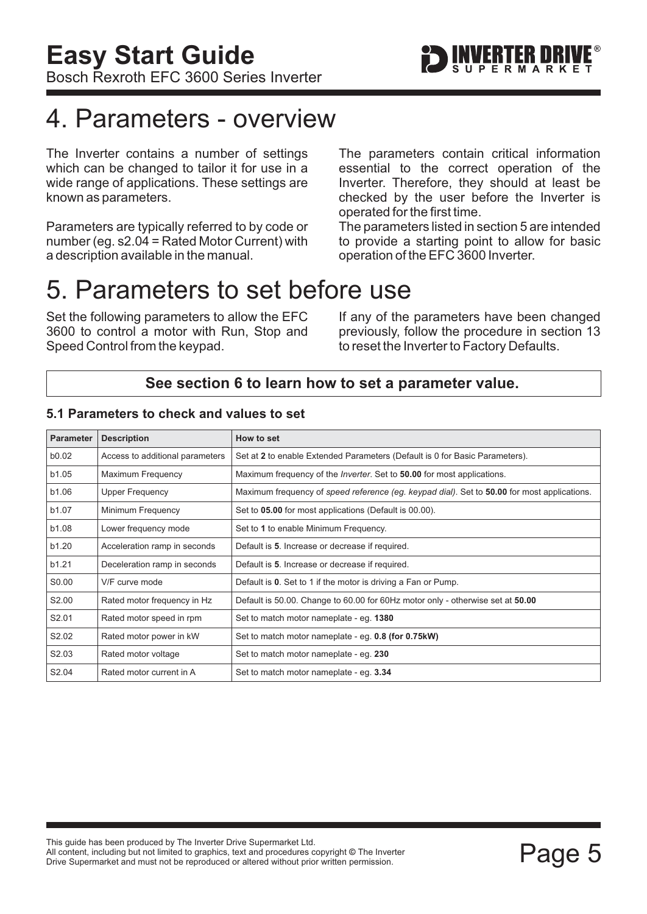### <span id="page-6-0"></span>4. Parameters - overview

The Inverter contains a number of settings which can be changed to tailor it for use in a wide range of applications. These settings are known as parameters.

Parameters are typically referred to by code or number (eg. s2.04 = Rated Motor Current) with a description available in the manual.

The parameters contain critical information essential to the correct operation of the Inverter. Therefore, they should at least be checked by the user before the Inverter is operated for the first time.

The parameters listed in section 5 are intended to provide a starting point to allow for basic operation of the EFC 3600 Inverter.

### 5. Parameters to set before use

Set the following parameters to allow the EFC 3600 to control a motor with Run, Stop and Speed Control from the keypad.

If any of the parameters have been changed previously, follow the procedure in [section 13](#page-14-0) to reset the Inverter to Factory Defaults.

#### **See [section 6](#page-7-0) to learn how to set a parameter value.**

| <b>Parameter</b> | <b>Description</b>              | How to set                                                                                  |
|------------------|---------------------------------|---------------------------------------------------------------------------------------------|
| b0.02            | Access to additional parameters | Set at 2 to enable Extended Parameters (Default is 0 for Basic Parameters).                 |
| b1.05            | <b>Maximum Frequency</b>        | Maximum frequency of the <i>Inverter</i> . Set to <b>50.00</b> for most applications.       |
| b1.06            | Upper Frequency                 | Maximum frequency of speed reference (eg. keypad dial). Set to 50.00 for most applications. |
| b1.07            | Minimum Frequency               | Set to 05.00 for most applications (Default is 00.00).                                      |
| b1.08            | Lower frequency mode            | Set to 1 to enable Minimum Frequency.                                                       |
| b1.20            | Acceleration ramp in seconds    | Default is 5. Increase or decrease if required.                                             |
| b1.21            | Deceleration ramp in seconds    | Default is 5. Increase or decrease if required.                                             |
| S0.00            | V/F curve mode                  | Default is 0. Set to 1 if the motor is driving a Fan or Pump.                               |
| S2.00            | Rated motor frequency in Hz     | Default is 50.00. Change to 60.00 for 60Hz motor only - otherwise set at 50.00              |
| S2.01            | Rated motor speed in rpm        | Set to match motor nameplate - eg. 1380                                                     |
| S2.02            | Rated motor power in kW         | Set to match motor nameplate - eg. 0.8 (for 0.75kW)                                         |
| S2.03            | Rated motor voltage             | Set to match motor nameplate - eg. 230                                                      |
| S2.04            | Rated motor current in A        | Set to match motor nameplate - eg. 3.34                                                     |

#### **5.1 Parameters to check and values to set**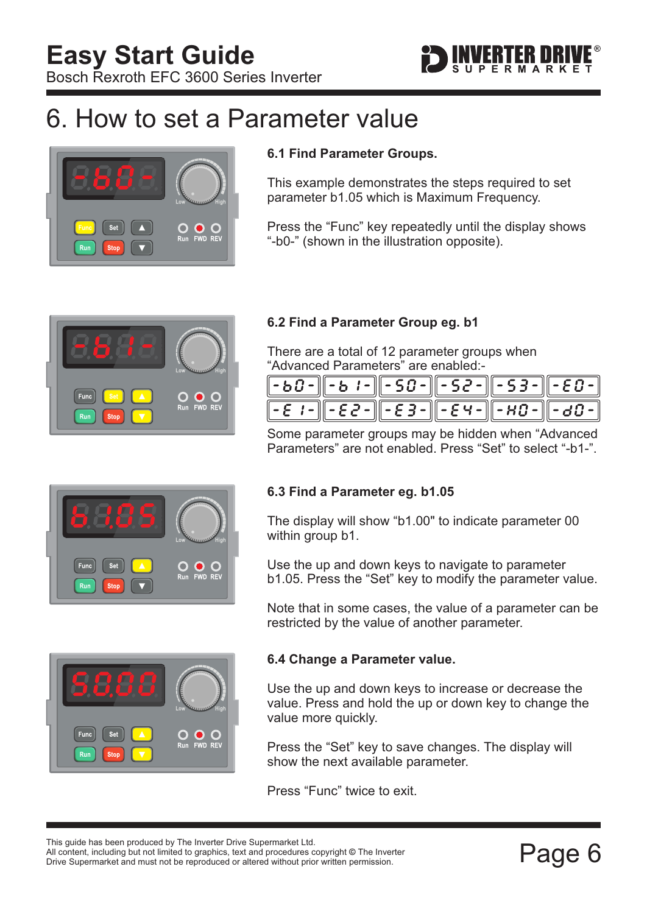

### <span id="page-7-0"></span>6. How to set a Parameter value



#### **6.1 Find Parameter Groups.**

This example demonstrates the steps required to set parameter b1.05 which is Maximum Frequency.

Press the "Func" key repeatedly until the display shows "-b0-" (shown in the illustration opposite).



#### **6.2 Find a Parameter Group eg. b1**

There are a total of 12 parameter groups when "Advanced Parameters" are enabled:-

| $\left[-50 - \left[-5 \ i - \right] - 50 - \left[-52 - \right] - 53 - \left[-53 - \right] - 50 - \right]$                                                                       |  |  |  |
|---------------------------------------------------------------------------------------------------------------------------------------------------------------------------------|--|--|--|
| $\left[ -\xi$ $\left[ -\xi \right] - \xi \right] - \xi \left[ -\xi \right] - \left[ -\xi \right] - \xi \left[ -\xi \right] - \xi \left[ -\xi \right] - \xi \left[ -\xi \right]$ |  |  |  |

Some parameter groups may be hidden when "Advanced Parameters" are not enabled. Press "Set" to select "-b1-".





#### **6.3 Find a Parameter eg. b1.05**

The display will show "b1.00" to indicate parameter 00 within group b1.

Use the up and down keys to navigate to parameter b1.05. Press the "Set" key to modify the parameter value.

Note that in some cases, the value of a parameter can be restricted by the value of another parameter.

#### **6.4 Change a Parameter value.**

Use the up and down keys to increase or decrease the value. Press and hold the up or down key to change the value more quickly.

Press the "Set" key to save changes. The display will show the next available parameter.

Press "Func" twice to exit.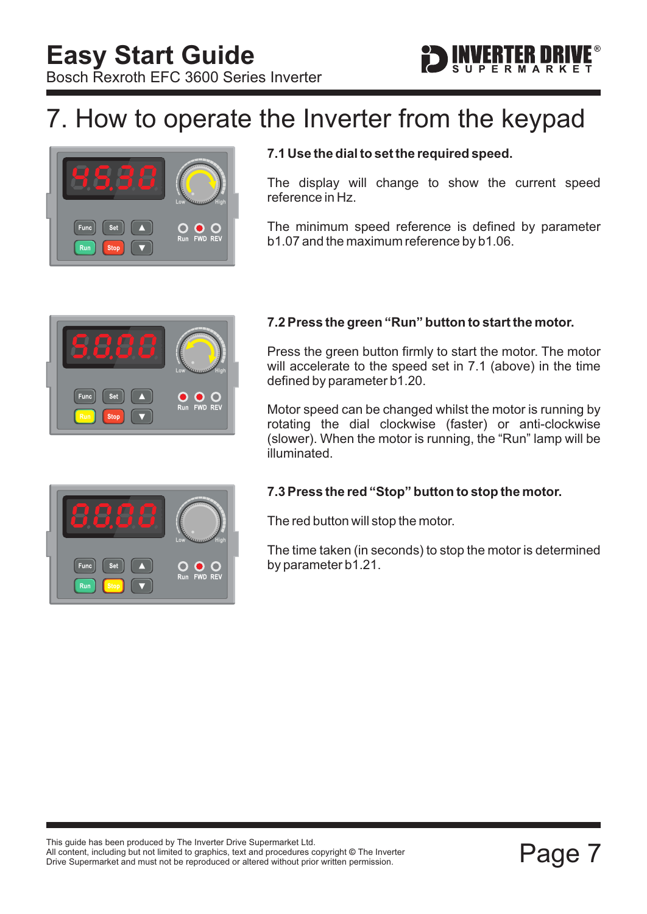## <span id="page-8-0"></span>7. How to operate the Inverter from the keypad



#### **7.1 Use the dial to set the required speed.**

The display will change to show the current speed reference in Hz.

The minimum speed reference is defined by parameter b1.07 and the maximum reference by b1.06.



#### **7.2 Press the green "Run" button to start the motor.**

Press the green button firmly to start the motor. The motor will accelerate to the speed set in 7.1 (above) in the time defined by parameter b1.20.

Motor speed can be changed whilst the motor is running by rotating the dial clockwise (faster) or anti-clockwise (slower). When the motor is running, the "Run" lamp will be illuminated.

#### **7.3 Press the red "Stop" button to stop the motor.**

The red button will stop the motor.

The time taken (in seconds) to stop the motor is determined by parameter b1.21.

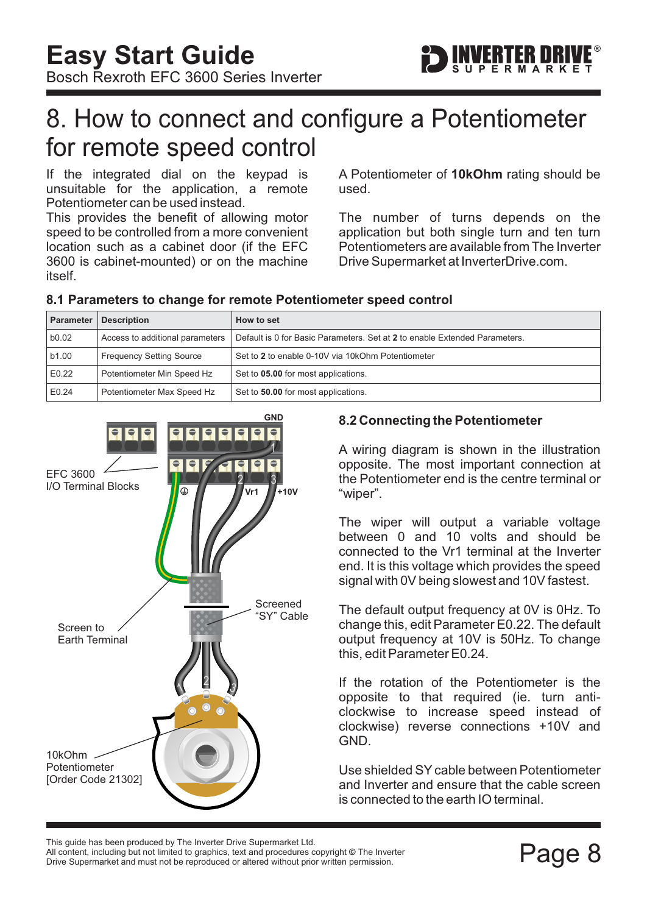### <span id="page-9-0"></span>8. How to connect and configure a Potentiometer for remote speed control

If the integrated dial on the keypad is unsuitable for the application, a remote Potentiometer can be used instead.

This provides the benefit of allowing motor speed to be controlled from a more convenient location such as a cabinet door (if the EFC 3600 is cabinet-mounted) or on the machine itself.

A Potentiometer of 10kOhm rating should be used.

The number of turns depends on the application but both single turn and ten turn Potentiometers are available from The Inverter Drive Supermarket at InverterDrive.com.

#### **8.1 Parameters to change for remote Potentiometer speed control**

| Parameter | <b>Description</b>              | How to set                                                                 |
|-----------|---------------------------------|----------------------------------------------------------------------------|
| b0.02     | Access to additional parameters | Default is 0 for Basic Parameters. Set at 2 to enable Extended Parameters. |
| b1.00     | <b>Frequency Setting Source</b> | Set to 2 to enable 0-10V via 10kOhm Potentiometer                          |
| E0.22     | Potentiometer Min Speed Hz      | Set to 05.00 for most applications.                                        |
| E0.24     | Potentiometer Max Speed Hz      | Set to 50.00 for most applications.                                        |



#### **8.2 Connecting the Potentiometer**

A wiring diagram is shown in the illustration opposite. The most important connection at the Potentiometer end is the centre terminal or "wiper".

The wiper will output a variable voltage between 0 and 10 volts and should be connected to the Vr1 terminal at the Inverter end. It is this voltage which provides the speed signal with 0V being slowest and 10V fastest.

The default output frequency at 0V is 0Hz. To change this, edit Parameter E0.22. The default output frequency at 10V is 50Hz. To change this, edit Parameter E0.24.

If the rotation of the Potentiometer is the opposite to that required (ie. turn anticlockwise to increase speed instead of clockwise) reverse connections +10V and GND.

Use shielded SY cable between Potentiometer and Inverter and ensure that the cable screen is connected to the earth IO terminal.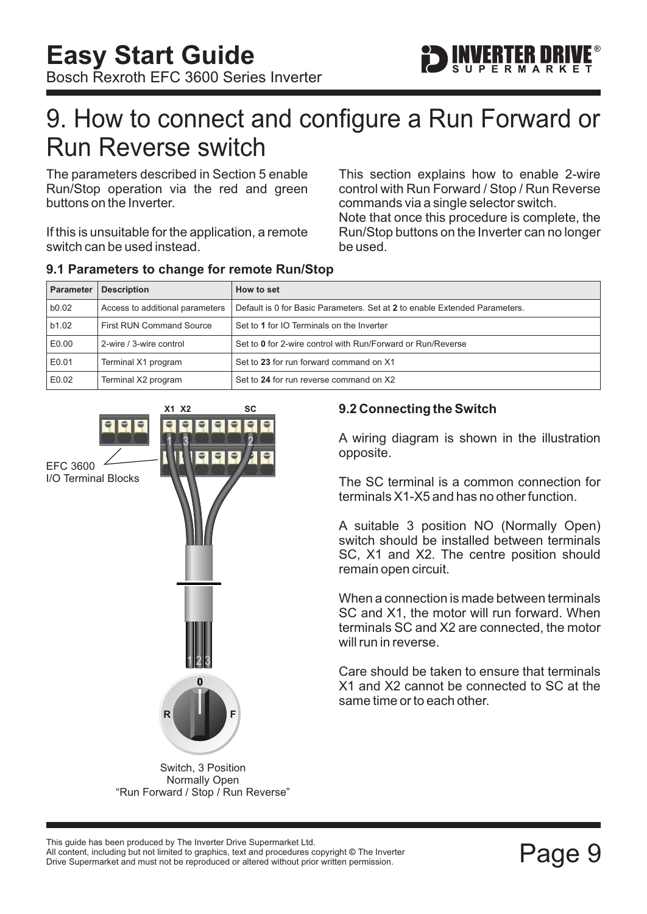### <span id="page-10-0"></span>9. How to connect and configure a Run Forward or Run Reverse switch

The parameters described in [Section 5](#page-6-0) enable Run/Stop operation via the red and green buttons on the Inverter.

If this is unsuitable for the application, a remote switch can be used instead.

This section explains how to enable 2-wire control with Run Forward / Stop / Run Reverse commands via a single selector switch.

Note that once this procedure is complete, the Run/Stop buttons on the Inverter can no longer be used.

| <b>Parameter</b> | <b>Description</b>              | How to set                                                                 |
|------------------|---------------------------------|----------------------------------------------------------------------------|
| b0.02            | Access to additional parameters | Default is 0 for Basic Parameters. Set at 2 to enable Extended Parameters. |
| b1.02            | <b>First RUN Command Source</b> | Set to 1 for IO Terminals on the Inverter                                  |
| E0.00            | 2-wire / 3-wire control         | Set to 0 for 2-wire control with Run/Forward or Run/Reverse                |
| E0.01            | Terminal X1 program             | Set to 23 for run forward command on X1                                    |
| E0.02            | Terminal X2 program             | Set to 24 for run reverse command on X2                                    |

#### **9.1 Parameters to change for remote Run/Stop**



**9.2 Connecting the Switch**

A wiring diagram is shown in the illustration opposite.

The SC terminal is a common connection for terminals X1-X5 and has no other function.

A suitable 3 position NO (Normally Open) switch should be installed between terminals SC, X1 and X2. The centre position should remain open circuit.

When a connection is made between terminals SC and X1, the motor will run forward. When terminals SC and X2 are connected, the motor will run in reverse.

Care should be taken to ensure that terminals X1 and X2 cannot be connected to SC at the same time or to each other.

Switch, 3 Position Normally Open "Run Forward / Stop / Run Reverse"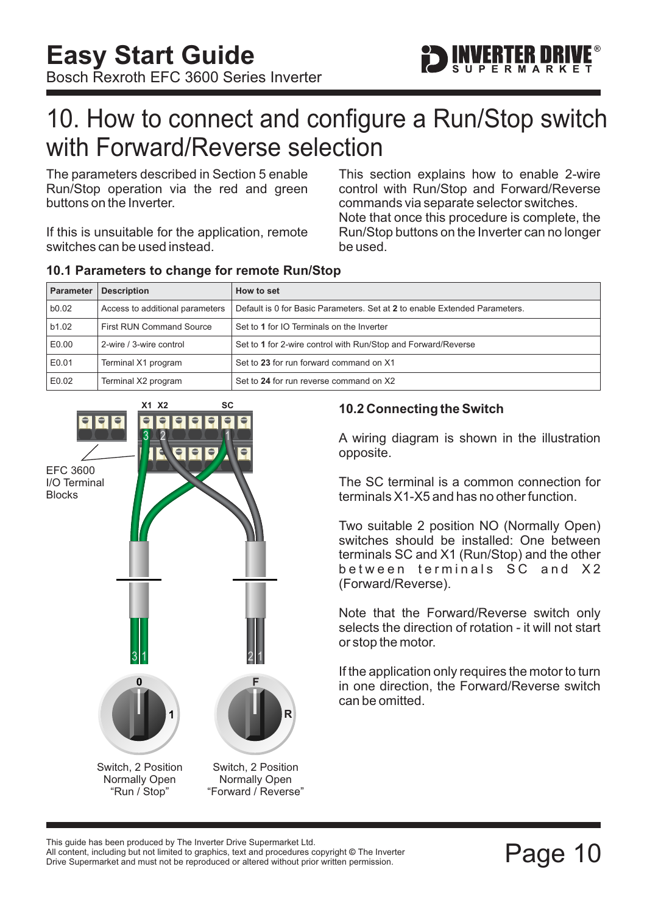

### <span id="page-11-0"></span>10. How to connect and configure a Run/Stop switch with Forward/Reverse selection

The parameters described in [Section 5](#page-6-0) enable Run/Stop operation via the red and green buttons on the Inverter.

If this is unsuitable for the application, remote switches can be used instead.

This section explains how to enable 2-wire control with Run/Stop and Forward/Reverse commands via separate selector switches. Note that once this procedure is complete, the Run/Stop buttons on the Inverter can no longer be used.

| <b>Parameter</b> | <b>Description</b>              | How to set                                                                 |
|------------------|---------------------------------|----------------------------------------------------------------------------|
| b0.02            | Access to additional parameters | Default is 0 for Basic Parameters. Set at 2 to enable Extended Parameters. |
| b1.02            | <b>First RUN Command Source</b> | Set to 1 for IO Terminals on the Inverter                                  |
| E0.00            | 2-wire / 3-wire control         | Set to 1 for 2-wire control with Run/Stop and Forward/Reverse              |
| E0.01            | Terminal X1 program             | Set to 23 for run forward command on X1                                    |
| E0.02            | Terminal X2 program             | Set to 24 for run reverse command on X2                                    |

#### **10.1 Parameters to change for remote Run/Stop**



#### **10.2 Connecting the Switch**

A wiring diagram is shown in the illustration opposite.

The SC terminal is a common connection for terminals X1-X5 and has no other function.

Two suitable 2 position NO (Normally Open) switches should be installed: One between terminals SC and X1 (Run/Stop) and the other between terminals SC and X2 (Forward/Reverse).

Note that the Forward/Reverse switch only selects the direction of rotation - it will not start or stop the motor.

If the application only requires the motor to turn in one direction, the Forward/Reverse switch can be omitted.

This guide has been produced by The Inverter Drive Supermarket Ltd.<br>All content, including but not limited to graphics, text and procedures copyright © The Inverter<br>Drive Supermarket and must not be reproduced or altered w All content, including but not limited to graphics, text and procedures copyright © The Inverter Drive Supermarket and must not be reproduced or altered without prior written permission.

**R**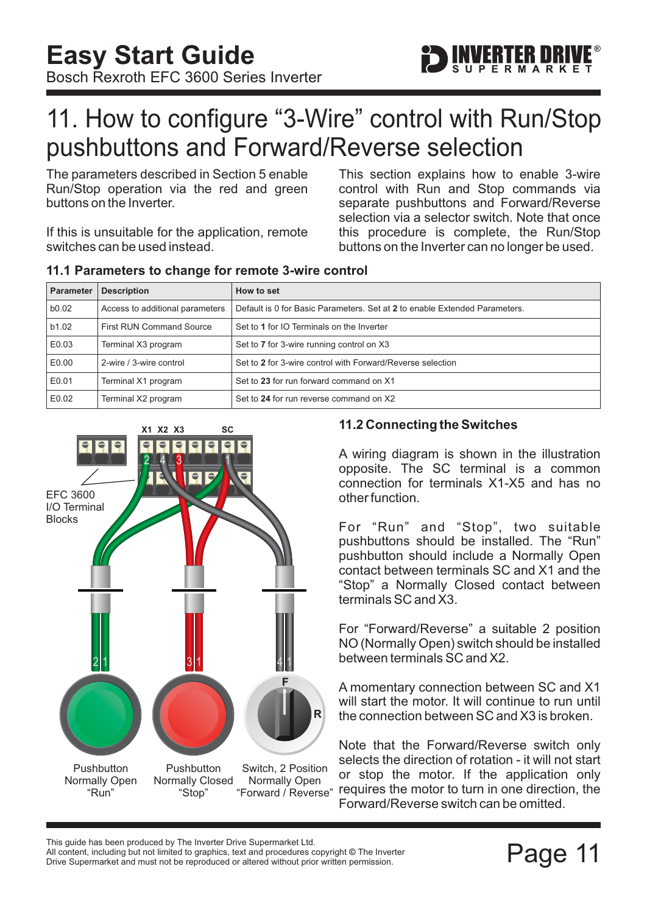

### <span id="page-12-0"></span>11. How to configure "3-Wire" control with Run/Stop pushbuttons and Forward/Reverse selection

The parameters described in [Section 5](#page-6-0) enable Run/Stop operation via the red and green buttons on the Inverter.

If this is unsuitable for the application, remote switches can be used instead.

**11.1 Parameters to change for remote 3-wire control**

This section explains how to enable 3-wire control with Run and Stop commands via separate pushbuttons and Forward/Reverse selection via a selector switch. Note that once this procedure is complete, the Run/Stop buttons on the Inverter can no longer be used.

| <b>Parameter</b> | <b>Description</b>              | How to set                                                                 |
|------------------|---------------------------------|----------------------------------------------------------------------------|
| b0.02            | Access to additional parameters | Default is 0 for Basic Parameters. Set at 2 to enable Extended Parameters. |
| b1.02            | <b>First RUN Command Source</b> | Set to 1 for IO Terminals on the Inverter                                  |
| E0.03            | Terminal X3 program             | Set to 7 for 3-wire running control on X3                                  |
| E0.00            | 2-wire / 3-wire control         | Set to 2 for 3-wire control with Forward/Reverse selection                 |
| E0.01            | Terminal X1 program             | Set to 23 for run forward command on X1                                    |
| E0.02            | Terminal X2 program             | Set to 24 for run reverse command on X2                                    |



#### **11.2 Connecting the Switches**

A wiring diagram is shown in the illustration opposite. The SC terminal is a common connection for terminals X1-X5 and has no other function.

For "Run" and "Stop", two suitable pushbuttons should be installed. The "Run" pushbutton should include a Normally Open contact between terminals SC and X1 and the "Stop" a Normally Closed contact between terminals SC and X3.

For "Forward/Reverse" a suitable 2 position NO (Normally Open) switch should be installed between terminals SC and X2.

A momentary connection between SC and X1 will start the motor. It will continue to run until the connection between SC and X3 is broken.

or stop the motor. If the application only requires the motor to turn in one direction, the Forward/Reverse switch can be omitted. Note that the Forward/Reverse switch only selects the direction of rotation - it will not start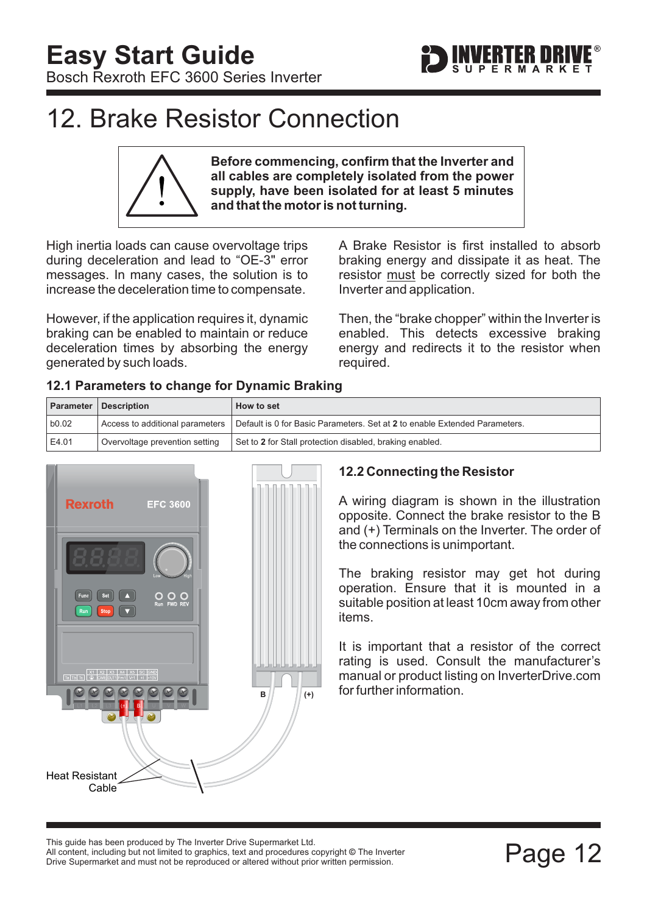

### <span id="page-13-0"></span>12. Brake Resistor Connection

**Before commencing, confirm that the Inverter and all cables are completely isolated from the power supply, have been isolated for at least 5 minutes and that the motor is not turning.**

High inertia loads can cause overvoltage trips during deceleration and lead to "OE-3" error messages. In many cases, the solution is to increase the deceleration time to compensate.

However, if the application requires it, dynamic braking can be enabled to maintain or reduce deceleration times by absorbing the energy generated by such loads.

A Brake Resistor is first installed to absorb braking energy and dissipate it as heat. The resistor must be correctly sized for both the Inverter and application.

Then, the "brake chopper" within the Inverter is enabled. This detects excessive braking energy and redirects it to the resistor when required.

| 12.1 Parameters to change for Dynamic Braking |
|-----------------------------------------------|
|-----------------------------------------------|

|        | <b>Parameter Description</b>   | How to set                                                                                                   |
|--------|--------------------------------|--------------------------------------------------------------------------------------------------------------|
| b0.02  |                                | Access to additional parameters   Default is 0 for Basic Parameters. Set at 2 to enable Extended Parameters. |
| ⊢E4.01 | Overvoltage prevention setting | Set to 2 for Stall protection disabled, braking enabled.                                                     |



### **12.2 Connecting the Resistor**

A wiring diagram is shown in the illustration opposite. Connect the brake resistor to the B and (+) Terminals on the Inverter. The order of the connections is unimportant.

The braking resistor may get hot during operation. Ensure that it is mounted in a suitable position at least 10cm away from other items.

It is important that a resistor of the correct rating is used. Consult the manufacturer's manual or product listing on InverterDrive.com  $\mathbf{B}$   $\mathbf{B}$   $\mathbf{B}$   $\mathbf{C}$   $\mathbf{C}$  for further information.